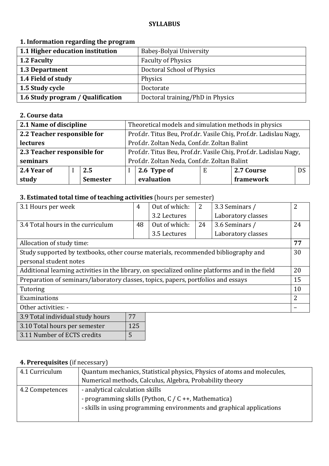#### **SYLLABUS**

## **1. Information regarding the program**

| 1.1 Higher education institution  | Babes-Bolyai University          |
|-----------------------------------|----------------------------------|
| <b>1.2 Faculty</b>                | <b>Faculty of Physics</b>        |
| 1.3 Department                    | Doctoral School of Physics       |
| 1.4 Field of study                | Physics                          |
| 1.5 Study cycle                   | Doctorate                        |
| 1.6 Study program / Qualification | Doctoral training/PhD in Physics |

## **2. Course data**

| 2.1 Name of discipline                               |                                              |                 | Theoretical models and simulation methods in physics              |                                              |           |           |  |
|------------------------------------------------------|----------------------------------------------|-----------------|-------------------------------------------------------------------|----------------------------------------------|-----------|-----------|--|
| 2.2 Teacher responsible for                          |                                              |                 | Prof.dr. Titus Beu, Prof.dr. Vasile Chiș, Prof.dr. Ladislau Nagy, |                                              |           |           |  |
| <b>lectures</b>                                      | Prof.dr. Zoltan Neda, Conf.dr. Zoltan Balint |                 |                                                                   |                                              |           |           |  |
| 2.3 Teacher responsible for                          |                                              |                 | Prof.dr. Titus Beu, Prof.dr. Vasile Chiș, Prof.dr. Ladislau Nagy, |                                              |           |           |  |
| seminars                                             |                                              |                 |                                                                   | Prof.dr. Zoltan Neda, Conf.dr. Zoltan Balint |           |           |  |
| 2.4 Year of<br>2.6 Type of<br>2.7 Course<br>2.5<br>E |                                              |                 |                                                                   |                                              | <b>DS</b> |           |  |
| study                                                |                                              | <b>Semester</b> |                                                                   | evaluation                                   |           | framework |  |

#### **3. Estimated total time of teaching activities** (hours per semester)

| 3.1 Hours per week                                                                              | $\overline{4}$ | Out of which: | 2  | 3.3 Seminars /     |    |
|-------------------------------------------------------------------------------------------------|----------------|---------------|----|--------------------|----|
|                                                                                                 |                | 3.2 Lectures  |    | Laboratory classes |    |
| 3.4 Total hours in the curriculum                                                               | 48             | Out of which: | 24 | 3.6 Seminars /     | 24 |
|                                                                                                 |                | 3.5 Lectures  |    | Laboratory classes |    |
| Allocation of study time:                                                                       |                |               |    |                    | 77 |
| Study supported by textbooks, other course materials, recommended bibliography and              |                |               |    |                    | 30 |
| personal student notes                                                                          |                |               |    |                    |    |
| Additional learning activities in the library, on specialized online platforms and in the field |                |               |    |                    | 20 |
| Preparation of seminars/laboratory classes, topics, papers, portfolios and essays               |                |               |    |                    | 15 |
| Tutoring                                                                                        |                |               |    |                    | 10 |
| Examinations                                                                                    |                |               |    |                    | 2  |
| Other activities: -                                                                             |                |               |    |                    |    |
| 77<br>3.9 Total individual study hours                                                          |                |               |    |                    |    |
|                                                                                                 |                |               |    |                    |    |

| 3.10 Total hours per semester | 125 |
|-------------------------------|-----|
| 3.11 Number of ECTS credits   |     |

# **4. Prerequisites** (if necessary)

| 4.1 Curriculum  | Quantum mechanics, Statistical physics, Physics of atoms and molecules, |  |
|-----------------|-------------------------------------------------------------------------|--|
|                 | Numerical methods, Calculus, Algebra, Probability theory                |  |
| 4.2 Competences | - analytical calculation skills                                         |  |
|                 | - programming skills (Python, C / C + +, Mathematica)                   |  |
|                 | - skills in using programming environments and graphical applications   |  |
|                 |                                                                         |  |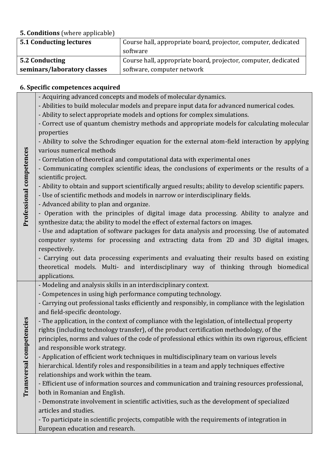**5. Conditions** (where applicable)

| <b>5.1 Conducting lectures</b> | Course hall, appropriate board, projector, computer, dedicated |
|--------------------------------|----------------------------------------------------------------|
|                                | software                                                       |
| 5.2 Conducting                 | Course hall, appropriate board, projector, computer, dedicated |
| seminars/laboratory classes    | software, computer network                                     |

## **6. Specific competences acquired**

|                                 | - Acquiring advanced concepts and models of molecular dynamics.                                      |
|---------------------------------|------------------------------------------------------------------------------------------------------|
|                                 | - Abilities to build molecular models and prepare input data for advanced numerical codes.           |
|                                 | - Ability to select appropriate models and options for complex simulations.                          |
|                                 | - Correct use of quantum chemistry methods and appropriate models for calculating molecular          |
|                                 | properties                                                                                           |
|                                 | - Ability to solve the Schrodinger equation for the external atom-field interaction by applying      |
|                                 | various numerical methods                                                                            |
|                                 | - Correlation of theoretical and computational data with experimental ones                           |
|                                 | - Communicating complex scientific ideas, the conclusions of experiments or the results of a         |
|                                 | scientific project.                                                                                  |
|                                 | - Ability to obtain and support scientifically argued results; ability to develop scientific papers. |
|                                 | - Use of scientific methods and models in narrow or interdisciplinary fields.                        |
|                                 | - Advanced ability to plan and organize.                                                             |
| Professional competences        | - Operation with the principles of digital image data processing. Ability to analyze and             |
|                                 | synthesize data; the ability to model the effect of external factors on images.                      |
|                                 | - Use and adaptation of software packages for data analysis and processing. Use of automated         |
|                                 | computer systems for processing and extracting data from 2D and 3D digital images,                   |
|                                 | respectively.                                                                                        |
|                                 | - Carrying out data processing experiments and evaluating their results based on existing            |
|                                 | theoretical models. Multi- and interdisciplinary way of thinking through biomedical                  |
|                                 | applications.                                                                                        |
|                                 | - Modeling and analysis skills in an interdisciplinary context.                                      |
|                                 | - Competences in using high performance computing technology.                                        |
|                                 | - Carrying out professional tasks efficiently and responsibly, in compliance with the legislation    |
|                                 | and field-specific deontology.                                                                       |
|                                 | - The application, in the context of compliance with the legislation, of intellectual property       |
|                                 | rights (including technology transfer), of the product certification methodology, of the             |
|                                 | principles, norms and values of the code of professional ethics within its own rigorous, efficient   |
|                                 | and responsible work strategy.                                                                       |
|                                 | - Application of efficient work techniques in multidisciplinary team on various levels               |
|                                 | hierarchical. Identify roles and responsibilities in a team and apply techniques effective           |
|                                 | relationships and work within the team.                                                              |
|                                 | - Efficient use of information sources and communication and training resources professional,        |
| <b>Transversal competencies</b> | both in Romanian and English.                                                                        |
|                                 | - Demonstrate involvement in scientific activities, such as the development of specialized           |
|                                 | articles and studies.                                                                                |
|                                 | - To participate in scientific projects, compatible with the requirements of integration in          |
|                                 | European education and research.                                                                     |
|                                 |                                                                                                      |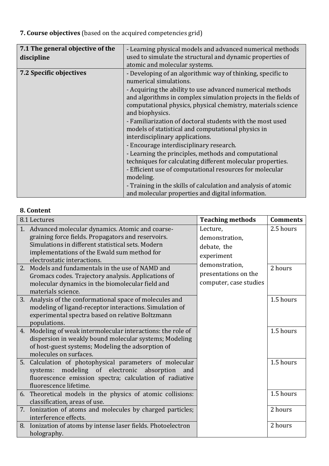**7. Course objectives** (based on the acquired competencies grid)

| 7.1 The general objective of the | - Learning physical models and advanced numerical methods                                                                                                                                                                                                                                                          |
|----------------------------------|--------------------------------------------------------------------------------------------------------------------------------------------------------------------------------------------------------------------------------------------------------------------------------------------------------------------|
| discipline                       | used to simulate the structural and dynamic properties of                                                                                                                                                                                                                                                          |
|                                  | atomic and molecular systems.                                                                                                                                                                                                                                                                                      |
| 7.2 Specific objectives          | - Developing of an algorithmic way of thinking, specific to<br>numerical simulations.                                                                                                                                                                                                                              |
|                                  | - Acquiring the ability to use advanced numerical methods<br>and algorithms in complex simulation projects in the fields of<br>computational physics, physical chemistry, materials science<br>and biophysics.                                                                                                     |
|                                  | - Familiarization of doctoral students with the most used<br>models of statistical and computational physics in<br>interdisciplinary applications.<br>- Encourage interdisciplinary research.                                                                                                                      |
|                                  | - Learning the principles, methods and computational<br>techniques for calculating different molecular properties.<br>- Efficient use of computational resources for molecular<br>modeling.<br>- Training in the skills of calculation and analysis of atomic<br>and molecular properties and digital information. |

# **8. Content**

| 8.1 Lectures                                                                                                                                                                                                                                | <b>Teaching methods</b>                                                   | <b>Comments</b> |
|---------------------------------------------------------------------------------------------------------------------------------------------------------------------------------------------------------------------------------------------|---------------------------------------------------------------------------|-----------------|
| 1. Advanced molecular dynamics. Atomic and coarse-<br>graining force fields. Propagators and reservoirs.<br>Simulations in different statistical sets. Modern<br>implementations of the Ewald sum method for<br>electrostatic interactions. | Lecture,<br>demonstration,<br>debate, the<br>experiment<br>demonstration, | 2.5 hours       |
| 2. Models and fundamentals in the use of NAMD and<br>Gromacs codes. Trajectory analysis. Applications of<br>molecular dynamics in the biomolecular field and<br>materials science.                                                          | presentations on the<br>computer, case studies                            | 2 hours         |
| 3. Analysis of the conformational space of molecules and<br>modeling of ligand-receptor interactions. Simulation of<br>experimental spectra based on relative Boltzmann<br>populations.                                                     |                                                                           | 1.5 hours       |
| 4. Modeling of weak intermolecular interactions: the role of<br>dispersion in weakly bound molecular systems; Modeling<br>of host-guest systems; Modeling the adsorption of<br>molecules on surfaces.                                       |                                                                           | 1.5 hours       |
| 5. Calculation of photophysical parameters of molecular<br>modeling of electronic<br>absorption<br>systems:<br>and<br>fluorescence emission spectra; calculation of radiative<br>fluorescence lifetime.                                     |                                                                           | 1.5 hours       |
| 6. Theoretical models in the physics of atomic collisions:<br>classification, areas of use.                                                                                                                                                 |                                                                           | 1.5 hours       |
| 7. Ionization of atoms and molecules by charged particles;<br>interference effects.                                                                                                                                                         |                                                                           | 2 hours         |
| 8. Ionization of atoms by intense laser fields. Photoelectron<br>holography.                                                                                                                                                                |                                                                           | 2 hours         |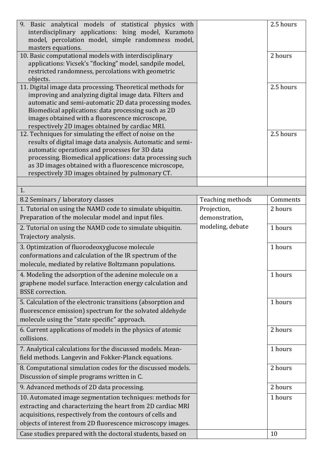| 9. Basic analytical models of statistical physics with<br>interdisciplinary applications: Ising model, Kuramoto<br>model, percolation model, simple randomness model,<br>masters equations.                                                                                                                                                         |                  | 2.5 hours |
|-----------------------------------------------------------------------------------------------------------------------------------------------------------------------------------------------------------------------------------------------------------------------------------------------------------------------------------------------------|------------------|-----------|
| 10. Basic computational models with interdisciplinary<br>applications: Vicsek's "flocking" model, sandpile model,<br>restricted randomness, percolations with geometric<br>objects.                                                                                                                                                                 |                  | 2 hours   |
| 11. Digital image data processing. Theoretical methods for<br>improving and analyzing digital image data. Filters and<br>automatic and semi-automatic 2D data processing modes.<br>Biomedical applications: data processing such as 2D<br>images obtained with a fluorescence microscope,<br>respectively 2D images obtained by cardiac MRI.        |                  | 2.5 hours |
| 12. Techniques for simulating the effect of noise on the<br>results of digital image data analysis. Automatic and semi-<br>automatic operations and processes for 3D data<br>processing. Biomedical applications: data processing such<br>as 3D images obtained with a fluorescence microscope,<br>respectively 3D images obtained by pulmonary CT. |                  | 2.5 hours |
| 1.                                                                                                                                                                                                                                                                                                                                                  |                  |           |
| 8.2 Seminars / laboratory classes                                                                                                                                                                                                                                                                                                                   | Teaching methods | Comments  |
| 1. Tutorial on using the NAMD code to simulate ubiquitin.                                                                                                                                                                                                                                                                                           | Projection,      | 2 hours   |
| Preparation of the molecular model and input files.                                                                                                                                                                                                                                                                                                 | demonstration,   |           |
| 2. Tutorial on using the NAMD code to simulate ubiquitin.<br>Trajectory analysis.                                                                                                                                                                                                                                                                   | modeling, debate | 1 hours   |
| 3. Optimization of fluorodeoxyglucose molecule<br>conformations and calculation of the IR spectrum of the<br>molecule, mediated by relative Boltzmann populations.                                                                                                                                                                                  |                  | 1 hours   |
| 4. Modeling the adsorption of the adenine molecule on a<br>graphene model surface. Interaction energy calculation and<br><b>BSSE</b> correction.                                                                                                                                                                                                    |                  | 1 hours   |
| 5. Calculation of the electronic transitions (absorption and<br>fluorescence emission) spectrum for the solvated aldehyde<br>molecule using the "state specific" approach.                                                                                                                                                                          |                  | 1 hours   |
| 6. Current applications of models in the physics of atomic<br>collisions.                                                                                                                                                                                                                                                                           |                  | 2 hours   |
| 7. Analytical calculations for the discussed models. Mean-<br>field methods. Langevin and Fokker-Planck equations.                                                                                                                                                                                                                                  |                  | 1 hours   |
| 8. Computational simulation codes for the discussed models.                                                                                                                                                                                                                                                                                         |                  | 2 hours   |
| Discussion of simple programs written in C.                                                                                                                                                                                                                                                                                                         |                  |           |
| 9. Advanced methods of 2D data processing.                                                                                                                                                                                                                                                                                                          |                  | 2 hours   |
| 10. Automated image segmentation techniques: methods for<br>extracting and characterizing the heart from 2D cardiac MRI<br>acquisitions, respectively from the contours of cells and<br>objects of interest from 2D fluorescence microscopy images.                                                                                                 |                  | 1 hours   |
| Case studies prepared with the doctoral students, based on                                                                                                                                                                                                                                                                                          |                  | 10        |
|                                                                                                                                                                                                                                                                                                                                                     |                  |           |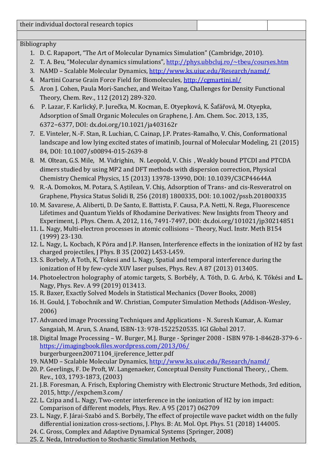| their individual doctoral research topics |  |
|-------------------------------------------|--|
|                                           |  |

### Bibliography

- 1. D. C. Rapaport, "The Art of Molecular Dynamics Simulation" (Cambridge, 2010).
- 2. T. A. Beu, "Molecular dynamics simulations", <http://phys.ubbcluj.ro/~tbeu/courses.htm>
- 3. NAMD Scalable Molecular Dynamics,<http://www.ks.uiuc.edu/Research/namd/>
- 4. Martini Coarse Grain Force Field for Biomolecules,<http://cgmartini.nl/>
- 5. Aron J. Cohen, Paula Mori-Sanchez, and Weitao Yang, Challenges for Density Functional Theory, Chem. Rev., 112 (2012) 289-320.
- 6. P. Lazar, F. Karlický, P. Jurečka, M. Kocman, E. Otyepková, K. Šafářová, M. Otyepka, Adsorption of Small Organic Molecules on Graphene, J. Am. Chem. Soc. 2013, 135, 6372−6377, DOI: dx.doi.org/10.1021/ja403162r
- 7. E. Vinteler, N.-F. Stan, R. Luchian, C. Cainap, J.P. Prates-Ramalho, V. Chis, Conformational landscape and low lying excited states of imatinib, Journal of Molecular Modeling, 21 (2015) 84, DOI: 10.1007/s00894-015-2639-8
- 8. M. Oltean, G.S. Mile, M. Vidrighin, N. Leopold, V. Chis , Weakly bound PTCDI and PTCDA dimers studied by using MP2 and DFT methods with dispersion correction, Physical Chemistry Chemical Physics, 15 (2013) 13978-13990, DOI: 10.1039/C3CP44644A
- 9. R.-A. Domokos, M. Potara, S. Aştilean, V. Chiş, Adsorption of Trans- and cis-Resveratrol on Graphene, Physica Status Solidi B, 256 (2018) 1800335, DOI: 10.1002/pssb.201800335
- 10. M. Savarese, A. Aliberti, D. De Santo, E. Battista, F. Causa, P.A. Netti, N. Rega, Fluorescence Lifetimes and Quantum Yields of Rhodamine Derivatives: New Insights from Theory and Experiment, J. Phys. Chem. A, 2012, 116, 7491-7497, DOI: dx.doi.org/101021/jp30214851
- 11. L. Nagy, Multi-electron processes in atomic collisions Theory, Nucl. Instr. Meth B154 (1999) 23-130.
- 12. L. Nagy, L. Kocbach, K Póra and J.P. Hansen, Interference effects in the ionization of H2 by fast charged projectiles, J Phys. B 35 (2002) L453-L459.
- 13. S. Borbely, A Toth, K, Tokesi and L. Nagy, Spatial and temporal interference during the ionization of H by few-cycle XUV laser pulses, Phys. Rev. A 87 (2013) 013405.
- 14. Photoelectron holography of atomic targets, S. Borbély, A. Tóth, D. G. Arbó, K. Tőkési and **L.**  Nagy, Phys. Rev. A 99 (2019) 013413.
- 15. R. Baxer, Exactly Solved Models in Statistical Mechanics (Dover Books, 2008)
- 16. H. Gould, J. Tobochnik and W. Christian, Computer Simulation Methods (Addison-Wesley, 2006)
- 17. Advanced image Processing Techniques and Applications N. Suresh Kumar, A. Kumar Sangaiah, M. Arun, S. Anand, ISBN-13: 978-1522520535. IGI Global 2017.
- 18. Digital Image Processing W. Burger, M.J. Burge Springer 2008 ISBN 978-1-84628-379-6 <https://imagingbook.files.wordpress.com/2013/06/> burgerburgeen20071104\_ijreference\_letter.pdf
- 19. NAMD Scalable Molecular Dynamics,<http://www.ks.uiuc.edu/Research/namd/>
- 20. P. Geerlings, F. De Proft, W. Langenaeker, Conceptual Density Functional Theory, , Chem. Rev., 103, 1793-1873, (2003)
- 21. J.B. Foresman, A. Frisch, Exploring Chemistry with Electronic Structure Methods, 3rd edition, 2015, http://expchem3.com/
- 22. L. Czipa and L. Nagy, Two-center interference in the ionization of H2 by ion impact: Comparison of different models, Phys. Rev. A 95 (2017) 062709
- 23. L. Nagy, F. Járai-Szabó and S. Borbély, The effect of projectile wave packet width on the fully differential ionization cross-sections, J. Phys. B: At. Mol. Opt. Phys. 51 (2018) 144005.
- 24. C. Gross, Complex and Adaptive Dynamical Systems (Springer, 2008)
- 25. Z. Neda, Introduction to Stochastic Simulation Methods,